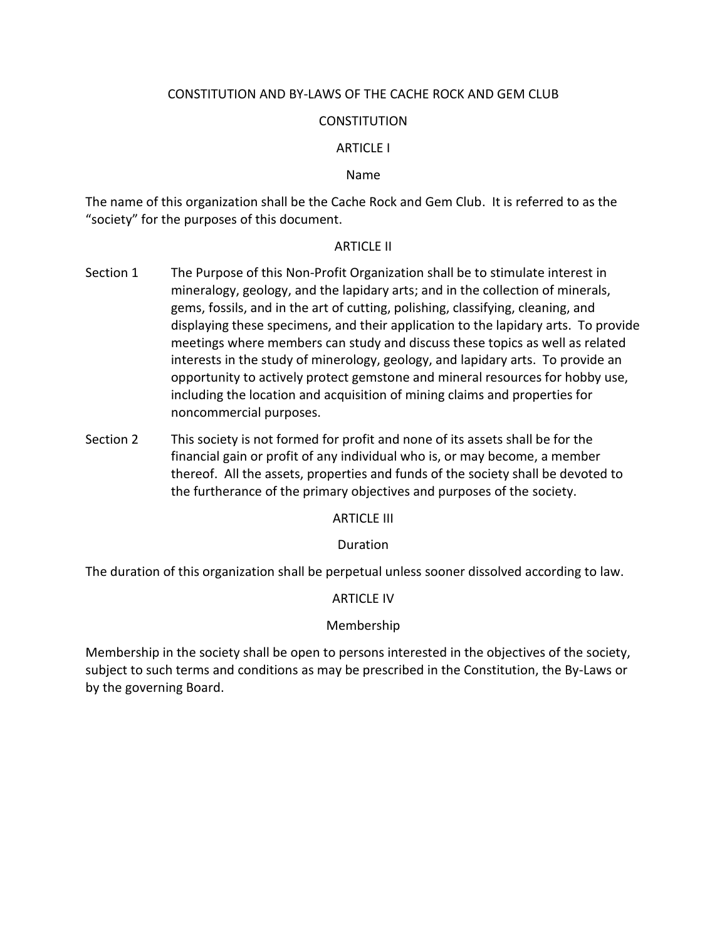# CONSTITUTION AND BY-LAWS OF THE CACHE ROCK AND GEM CLUB

# **CONSTITUTION**

# ARTICLE I

### Name

The name of this organization shall be the Cache Rock and Gem Club. It is referred to as the "society" for the purposes of this document.

### ARTICLE II

- Section 1 The Purpose of this Non-Profit Organization shall be to stimulate interest in mineralogy, geology, and the lapidary arts; and in the collection of minerals, gems, fossils, and in the art of cutting, polishing, classifying, cleaning, and displaying these specimens, and their application to the lapidary arts. To provide meetings where members can study and discuss these topics as well as related interests in the study of minerology, geology, and lapidary arts. To provide an opportunity to actively protect gemstone and mineral resources for hobby use, including the location and acquisition of mining claims and properties for noncommercial purposes.
- Section 2 This society is not formed for profit and none of its assets shall be for the financial gain or profit of any individual who is, or may become, a member thereof. All the assets, properties and funds of the society shall be devoted to the furtherance of the primary objectives and purposes of the society.

# **ARTICLE III**

# Duration

The duration of this organization shall be perpetual unless sooner dissolved according to law.

# ARTICLE IV

# Membership

Membership in the society shall be open to persons interested in the objectives of the society, subject to such terms and conditions as may be prescribed in the Constitution, the By-Laws or by the governing Board.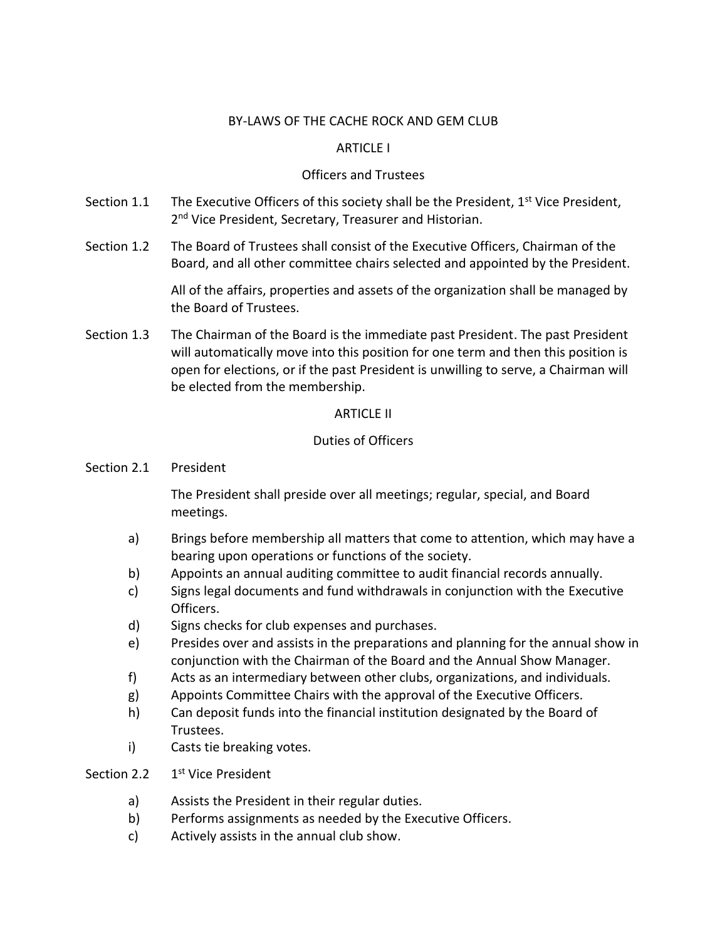# BY-LAWS OF THE CACHE ROCK AND GEM CLUB

# ARTICLE I

# Officers and Trustees

- Section 1.1 The Executive Officers of this society shall be the President, 1<sup>st</sup> Vice President, 2<sup>nd</sup> Vice President, Secretary, Treasurer and Historian.
- Section 1.2 The Board of Trustees shall consist of the Executive Officers, Chairman of the Board, and all other committee chairs selected and appointed by the President.

All of the affairs, properties and assets of the organization shall be managed by the Board of Trustees.

Section 1.3 The Chairman of the Board is the immediate past President. The past President will automatically move into this position for one term and then this position is open for elections, or if the past President is unwilling to serve, a Chairman will be elected from the membership.

# ARTICLE II

# Duties of Officers

Section 2.1 President

The President shall preside over all meetings; regular, special, and Board meetings.

- a) Brings before membership all matters that come to attention, which may have a bearing upon operations or functions of the society.
- b) Appoints an annual auditing committee to audit financial records annually.
- c) Signs legal documents and fund withdrawals in conjunction with the Executive Officers.
- d) Signs checks for club expenses and purchases.
- e) Presides over and assists in the preparations and planning for the annual show in conjunction with the Chairman of the Board and the Annual Show Manager.
- f) Acts as an intermediary between other clubs, organizations, and individuals.
- g) Appoints Committee Chairs with the approval of the Executive Officers.
- h) Can deposit funds into the financial institution designated by the Board of Trustees.
- i) Casts tie breaking votes.

#### Section 2.2 1<sup>st</sup> Vice President

- a) Assists the President in their regular duties.
- b) Performs assignments as needed by the Executive Officers.
- c) Actively assists in the annual club show.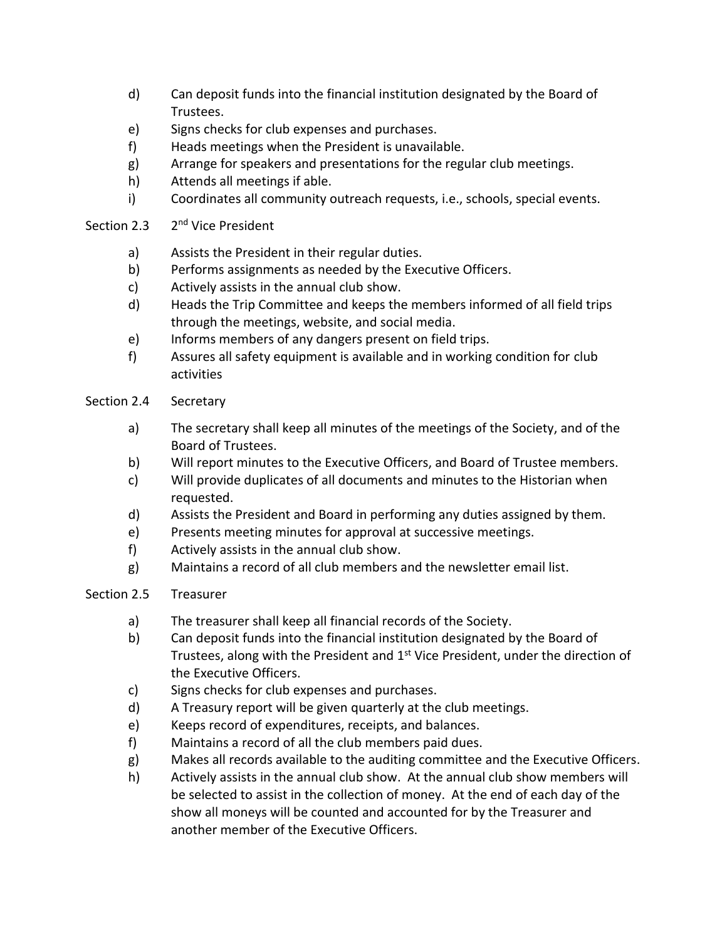- d) Can deposit funds into the financial institution designated by the Board of Trustees.
- e) Signs checks for club expenses and purchases.
- f) Heads meetings when the President is unavailable.
- g) Arrange for speakers and presentations for the regular club meetings.
- h) Attends all meetings if able.
- i) Coordinates all community outreach requests, i.e., schools, special events.

#### Section 2.3 2<sup>nd</sup> Vice President

- a) Assists the President in their regular duties.
- b) Performs assignments as needed by the Executive Officers.
- c) Actively assists in the annual club show.
- d) Heads the Trip Committee and keeps the members informed of all field trips through the meetings, website, and social media.
- e) Informs members of any dangers present on field trips.
- f) Assures all safety equipment is available and in working condition for club activities

# Section 2.4 Secretary

- a) The secretary shall keep all minutes of the meetings of the Society, and of the Board of Trustees.
- b) Will report minutes to the Executive Officers, and Board of Trustee members.
- c) Will provide duplicates of all documents and minutes to the Historian when requested.
- d) Assists the President and Board in performing any duties assigned by them.
- e) Presents meeting minutes for approval at successive meetings.
- f) Actively assists in the annual club show.
- g) Maintains a record of all club members and the newsletter email list.

# Section 2.5 Treasurer

- a) The treasurer shall keep all financial records of the Society.
- b) Can deposit funds into the financial institution designated by the Board of Trustees, along with the President and  $1<sup>st</sup>$  Vice President, under the direction of the Executive Officers.
- c) Signs checks for club expenses and purchases.
- d) A Treasury report will be given quarterly at the club meetings.
- e) Keeps record of expenditures, receipts, and balances.
- f) Maintains a record of all the club members paid dues.
- g) Makes all records available to the auditing committee and the Executive Officers.
- h) Actively assists in the annual club show. At the annual club show members will be selected to assist in the collection of money. At the end of each day of the show all moneys will be counted and accounted for by the Treasurer and another member of the Executive Officers.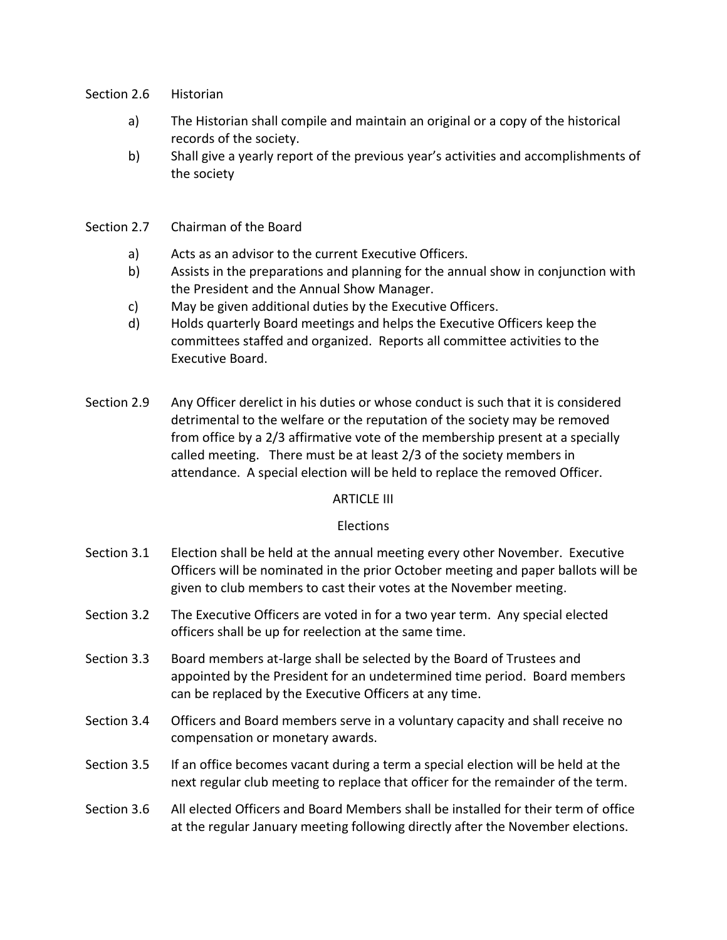- Section 2.6 Historian
	- a) The Historian shall compile and maintain an original or a copy of the historical records of the society.
	- b) Shall give a yearly report of the previous year's activities and accomplishments of the society

## Section 2.7 Chairman of the Board

- a) Acts as an advisor to the current Executive Officers.
- b) Assists in the preparations and planning for the annual show in conjunction with the President and the Annual Show Manager.
- c) May be given additional duties by the Executive Officers.
- d) Holds quarterly Board meetings and helps the Executive Officers keep the committees staffed and organized. Reports all committee activities to the Executive Board.
- Section 2.9 Any Officer derelict in his duties or whose conduct is such that it is considered detrimental to the welfare or the reputation of the society may be removed from office by a 2/3 affirmative vote of the membership present at a specially called meeting. There must be at least 2/3 of the society members in attendance. A special election will be held to replace the removed Officer.

# ARTICLE III

# Elections

- Section 3.1 Election shall be held at the annual meeting every other November. Executive Officers will be nominated in the prior October meeting and paper ballots will be given to club members to cast their votes at the November meeting.
- Section 3.2 The Executive Officers are voted in for a two year term. Any special elected officers shall be up for reelection at the same time.
- Section 3.3 Board members at-large shall be selected by the Board of Trustees and appointed by the President for an undetermined time period. Board members can be replaced by the Executive Officers at any time.
- Section 3.4 Officers and Board members serve in a voluntary capacity and shall receive no compensation or monetary awards.
- Section 3.5 If an office becomes vacant during a term a special election will be held at the next regular club meeting to replace that officer for the remainder of the term.
- Section 3.6 All elected Officers and Board Members shall be installed for their term of office at the regular January meeting following directly after the November elections.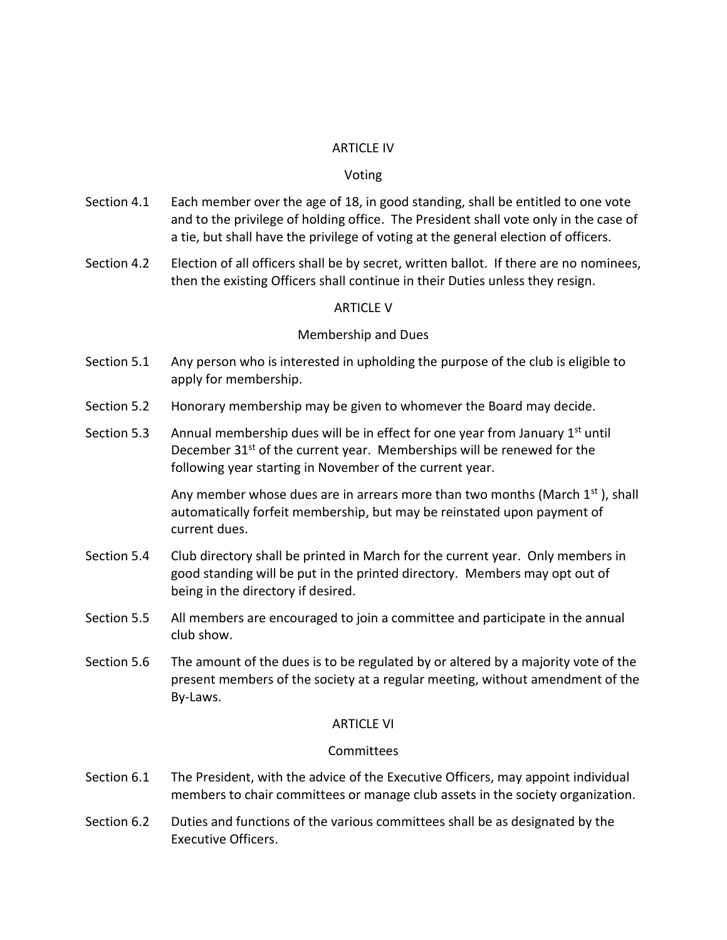#### ARTICLE IV

#### Voting

- Section 4.1 Each member over the age of 18, in good standing, shall be entitled to one vote and to the privilege of holding office. The President shall vote only in the case of a tie, but shall have the privilege of voting at the general election of officers.
- Section 4.2 Election of all officers shall be by secret, written ballot. If there are no nominees, then the existing Officers shall continue in their Duties unless they resign.

### ARTICLE V

### Membership and Dues

- Section 5.1 Any person who is interested in upholding the purpose of the club is eligible to apply for membership.
- Section 5.2 Honorary membership may be given to whomever the Board may decide.
- Section 5.3 Annual membership dues will be in effect for one year from January  $1<sup>st</sup>$  until December  $31<sup>st</sup>$  of the current year. Memberships will be renewed for the following year starting in November of the current year.

Any member whose dues are in arrears more than two months (March  $1<sup>st</sup>$ ), shall automatically forfeit membership, but may be reinstated upon payment of current dues.

- Section 5.4 Club directory shall be printed in March for the current year. Only members in good standing will be put in the printed directory. Members may opt out of being in the directory if desired.
- Section 5.5 All members are encouraged to join a committee and participate in the annual club show.
- Section 5.6 The amount of the dues is to be regulated by or altered by a majority vote of the present members of the society at a regular meeting, without amendment of the By-Laws.

#### ARTICLE VI

# **Committees**

- Section 6.1 The President, with the advice of the Executive Officers, may appoint individual members to chair committees or manage club assets in the society organization.
- Section 6.2 Duties and functions of the various committees shall be as designated by the Executive Officers.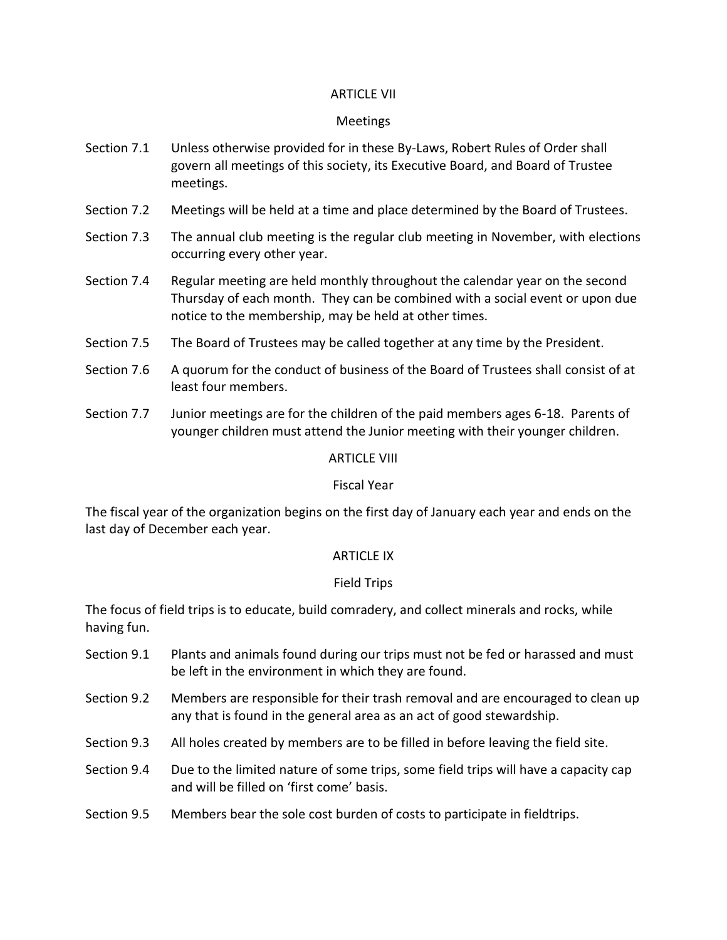# ARTICLE VII

## Meetings

- Section 7.1 Unless otherwise provided for in these By-Laws, Robert Rules of Order shall govern all meetings of this society, its Executive Board, and Board of Trustee meetings.
- Section 7.2 Meetings will be held at a time and place determined by the Board of Trustees.
- Section 7.3 The annual club meeting is the regular club meeting in November, with elections occurring every other year.
- Section 7.4 Regular meeting are held monthly throughout the calendar year on the second Thursday of each month. They can be combined with a social event or upon due notice to the membership, may be held at other times.
- Section 7.5 The Board of Trustees may be called together at any time by the President.
- Section 7.6 A quorum for the conduct of business of the Board of Trustees shall consist of at least four members.
- Section 7.7 Junior meetings are for the children of the paid members ages 6-18. Parents of younger children must attend the Junior meeting with their younger children.

### ARTICLE VIII

#### Fiscal Year

The fiscal year of the organization begins on the first day of January each year and ends on the last day of December each year.

#### ARTICLE IX

#### Field Trips

The focus of field trips is to educate, build comradery, and collect minerals and rocks, while having fun.

- Section 9.1 Plants and animals found during our trips must not be fed or harassed and must be left in the environment in which they are found.
- Section 9.2 Members are responsible for their trash removal and are encouraged to clean up any that is found in the general area as an act of good stewardship.
- Section 9.3 All holes created by members are to be filled in before leaving the field site.
- Section 9.4 Due to the limited nature of some trips, some field trips will have a capacity cap and will be filled on 'first come' basis.
- Section 9.5 Members bear the sole cost burden of costs to participate in fieldtrips.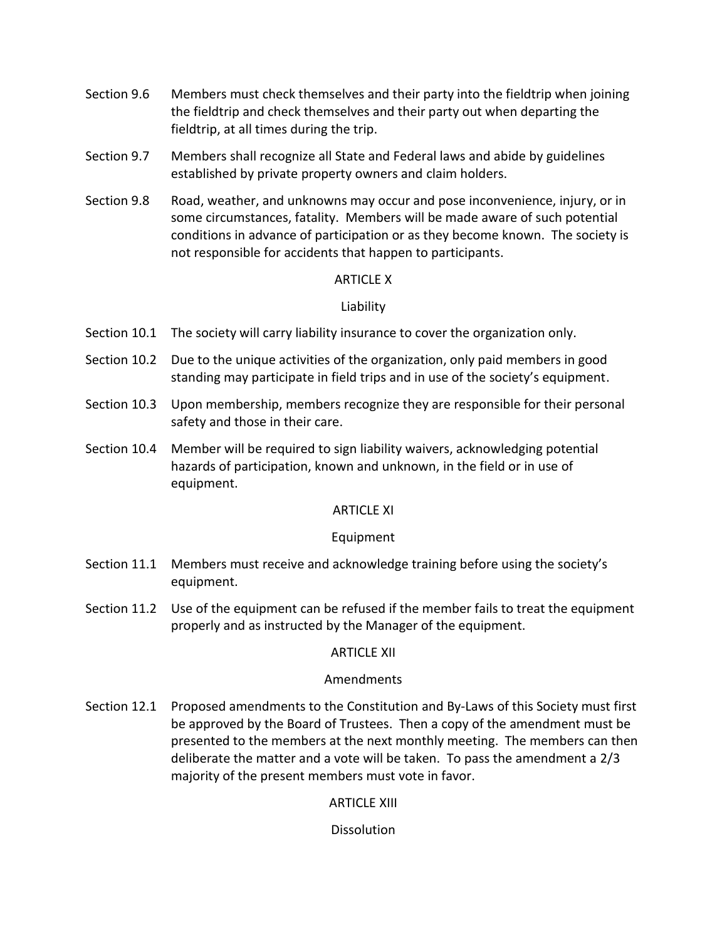- Section 9.6 Members must check themselves and their party into the fieldtrip when joining the fieldtrip and check themselves and their party out when departing the fieldtrip, at all times during the trip.
- Section 9.7 Members shall recognize all State and Federal laws and abide by guidelines established by private property owners and claim holders.
- Section 9.8 Road, weather, and unknowns may occur and pose inconvenience, injury, or in some circumstances, fatality. Members will be made aware of such potential conditions in advance of participation or as they become known. The society is not responsible for accidents that happen to participants.

# ARTICLE X

# Liability

- Section 10.1 The society will carry liability insurance to cover the organization only.
- Section 10.2 Due to the unique activities of the organization, only paid members in good standing may participate in field trips and in use of the society's equipment.
- Section 10.3 Upon membership, members recognize they are responsible for their personal safety and those in their care.
- Section 10.4 Member will be required to sign liability waivers, acknowledging potential hazards of participation, known and unknown, in the field or in use of equipment.

# ARTICLE XI

# Equipment

- Section 11.1 Members must receive and acknowledge training before using the society's equipment.
- Section 11.2 Use of the equipment can be refused if the member fails to treat the equipment properly and as instructed by the Manager of the equipment.

# ARTICLE XII

# Amendments

Section 12.1 Proposed amendments to the Constitution and By-Laws of this Society must first be approved by the Board of Trustees. Then a copy of the amendment must be presented to the members at the next monthly meeting. The members can then deliberate the matter and a vote will be taken. To pass the amendment a 2/3 majority of the present members must vote in favor.

ARTICLE XIII

**Dissolution**